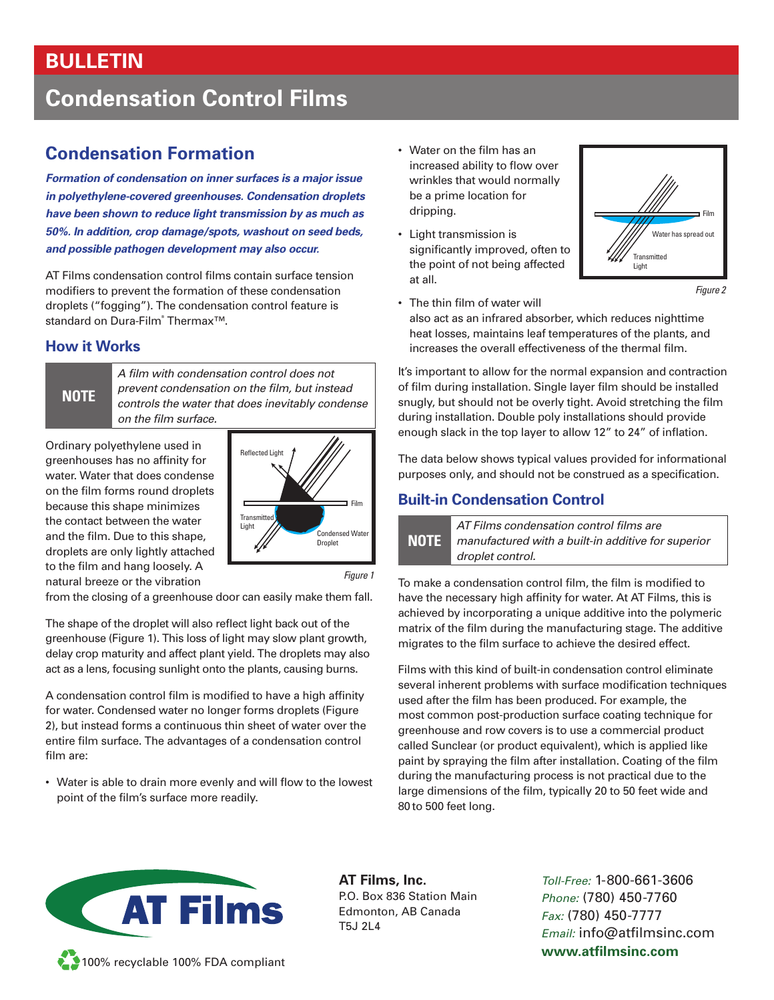## **BULLETIN**

# **Condensation Control Films**

## **Condensation Formation**

*Formation of condensation on inner surfaces is a major issue in polyethylene-covered greenhouses. Condensation droplets have been shown to reduce light transmission by as much as 50%. In addition, crop damage/spots, washout on seed beds, and possible pathogen development may also occur.*

AT Films condensation control films contain surface tension modifiers to prevent the formation of these condensation droplets ("fogging"). The condensation control feature is standard on Dura-Film® Thermax™.

### **How it Works**

**NOTE**

*A film with condensation control does not prevent condensation on the film, but instead controls the water that does inevitably condense on the film surface.*

Ordinary polyethylene used in greenhouses has no affinity for water. Water that does condense on the film forms round droplets because this shape minimizes the contact between the water and the film. Due to this shape, droplets are only lightly attached to the film and hang loosely. A natural breeze or the vibration



*Figure 1*

from the closing of a greenhouse door can easily make them fall.

The shape of the droplet will also reflect light back out of the greenhouse (Figure 1). This loss of light may slow plant growth, delay crop maturity and affect plant yield. The droplets may also act as a lens, focusing sunlight onto the plants, causing burns.

A condensation control film is modified to have a high affinity for water. Condensed water no longer forms droplets (Figure 2), but instead forms a continuous thin sheet of water over the entire film surface. The advantages of a condensation control film are:

• Water is able to drain more evenly and will flow to the lowest point of the film's surface more readily.

- Water on the film has an increased ability to flow over wrinkles that would normally be a prime location for dripping.
- Light transmission is significantly improved, often to the point of not being affected at all.



*Figure 2*

• The thin film of water will also act as an infrared absorber, which reduces nighttime heat losses, maintains leaf temperatures of the plants, and increases the overall effectiveness of the thermal film.

It's important to allow for the normal expansion and contraction of film during installation. Single layer film should be installed snugly, but should not be overly tight. Avoid stretching the film during installation. Double poly installations should provide enough slack in the top layer to allow 12" to 24" of inflation.

The data below shows typical values provided for informational purposes only, and should not be construed as a specification.

#### **Built-in Condensation Control**



To make a condensation control film, the film is modified to have the necessary high affinity for water. At AT Films, this is achieved by incorporating a unique additive into the polymeric matrix of the film during the manufacturing stage. The additive migrates to the film surface to achieve the desired effect.

Films with this kind of built-in condensation control eliminate several inherent problems with surface modification techniques used after the film has been produced. For example, the most common post-production surface coating technique for greenhouse and row covers is to use a commercial product called Sunclear (or product equivalent), which is applied like paint by spraying the film after installation. Coating of the film during the manufacturing process is not practical due to the large dimensions of the film, typically 20 to 50 feet wide and 80 to 500 feet long.



**AT Films, Inc.** P.O. Box 836 Station Main Edmonton, AB Canada T5J 2L4

*Toll-Free:* 1-800-661-3606 *Phone:* (780) 450-7760 *Fax:* (780) 450-7777 *Email:* info@atfilmsinc.com **www.atfilmsinc.com**